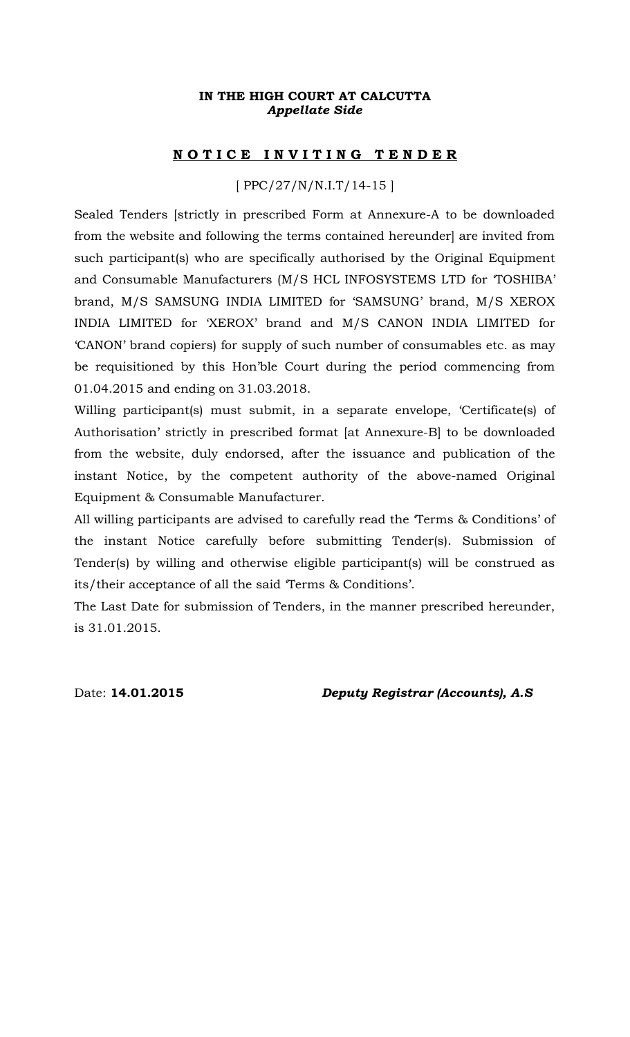## **IN THE HIGH COURT AT CALCUTTA** *Appellate Side*

## **N O T I C E I N V I T I N G T E N D E R**

# [ PPC/27/N/N.I.T/14-15 ]

Sealed Tenders [strictly in prescribed Form at Annexure-A to be downloaded from the website and following the terms contained hereunder] are invited from such participant(s) who are specifically authorised by the Original Equipment and Consumable Manufacturers (M/S HCL INFOSYSTEMS LTD for 'TOSHIBA' brand, M/S SAMSUNG INDIA LIMITED for 'SAMSUNG' brand, M/S XEROX INDIA LIMITED for 'XEROX' brand and M/S CANON INDIA LIMITED for 'CANON' brand copiers) for supply of such number of consumables etc. as may be requisitioned by this Hon'ble Court during the period commencing from 01.04.2015 and ending on 31.03.2018.

Willing participant(s) must submit, in a separate envelope, 'Certificate(s) of Authorisation' strictly in prescribed format [at Annexure-B] to be downloaded from the website, duly endorsed, after the issuance and publication of the instant Notice, by the competent authority of the above-named Original Equipment & Consumable Manufacturer.

All willing participants are advised to carefully read the 'Terms & Conditions' of the instant Notice carefully before submitting Tender(s). Submission of Tender(s) by willing and otherwise eligible participant(s) will be construed as its/their acceptance of all the said 'Terms & Conditions'.

The Last Date for submission of Tenders, in the manner prescribed hereunder, is 31.01.2015.

Date: **14.01.2015** *Deputy Registrar (Accounts), A.S*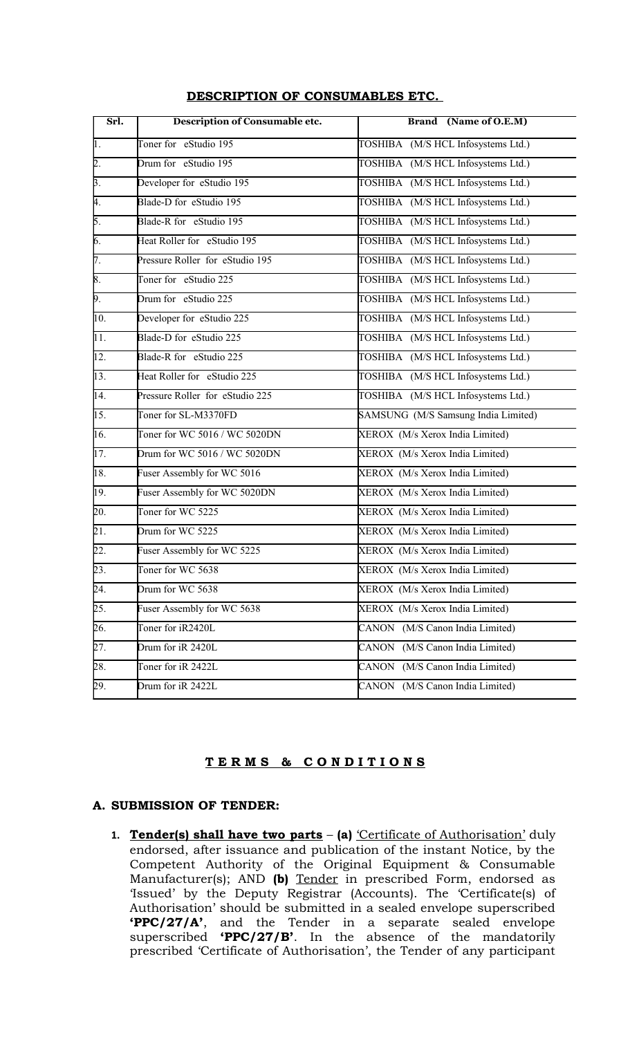| Srl.              | <b>Description of Consumable etc.</b> | <b>Brand</b> (Name of O.E.M)              |
|-------------------|---------------------------------------|-------------------------------------------|
| $\overline{1}$ .  | Toner for eStudio 195                 | TOSHIBA (M/S HCL Infosystems Ltd.)        |
| $\overline{2}$ .  | Drum for eStudio 195                  | TOSHIBA (M/S HCL Infosystems Ltd.)        |
| $\overline{3}$ .  | Developer for eStudio 195             | TOSHIBA (M/S HCL Infosystems Ltd.)        |
| 4.                | Blade-D for eStudio 195               | TOSHIBA (M/S HCL Infosystems Ltd.)        |
| 5.                | Blade-R for eStudio 195               | TOSHIBA (M/S HCL Infosystems Ltd.)        |
| 6.                | Heat Roller for eStudio 195           | TOSHIBA (M/S HCL Infosystems Ltd.)        |
| $\overline{7}$ .  | Pressure Roller for eStudio 195       | TOSHIBA (M/S HCL Infosystems Ltd.)        |
| 8.                | Toner for eStudio 225                 | TOSHIBA (M/S HCL Infosystems Ltd.)        |
| 9.                | Drum for eStudio 225                  | TOSHIBA (M/S HCL Infosystems Ltd.)        |
| $\overline{10}$ . | Developer for eStudio 225             | TOSHIBA (M/S HCL Infosystems Ltd.)        |
| $\overline{11}$ . | Blade-D for eStudio 225               | TOSHIBA (M/S HCL Infosystems Ltd.)        |
| $\overline{12}$ . | Blade-R for eStudio 225               | TOSHIBA (M/S HCL Infosystems Ltd.)        |
| $\overline{13}$ . | Heat Roller for eStudio 225           | TOSHIBA (M/S HCL Infosystems Ltd.)        |
| $\overline{14}$ . | Pressure Roller for eStudio 225       | TOSHIBA (M/S HCL Infosystems Ltd.)        |
| 15.               | Toner for SL-M3370FD                  | SAMSUNG (M/S Samsung India Limited)       |
| $\overline{16}$ . | Toner for WC 5016 / WC 5020DN         | XEROX (M/s Xerox India Limited)           |
| $\overline{17}$ . | Drum for WC 5016 / WC 5020DN          | XEROX (M/s Xerox India Limited)           |
| 18.               | Fuser Assembly for WC 5016            | XEROX (M/s Xerox India Limited)           |
| 19.               | Fuser Assembly for WC 5020DN          | XEROX (M/s Xerox India Limited)           |
| $\overline{20}$ . | Toner for WC 5225                     | XEROX (M/s Xerox India Limited)           |
| $\overline{21}$ . | Drum for WC 5225                      | XEROX (M/s Xerox India Limited)           |
| $\overline{22}$ . | Fuser Assembly for WC 5225            | XEROX (M/s Xerox India Limited)           |
| $\overline{23}$ . | Toner for WC 5638                     | XEROX (M/s Xerox India Limited)           |
| $\overline{24}$ . | Drum for WC 5638                      | XEROX (M/s Xerox India Limited)           |
| $\overline{25.}$  | Fuser Assembly for WC 5638            | XEROX (M/s Xerox India Limited)           |
| $\overline{26}$ . | Toner for iR2420L                     | (M/S Canon India Limited)<br><b>CANON</b> |
| 27.               | Drum for iR 2420L                     | (M/S Canon India Limited)<br><b>CANON</b> |
| $\overline{28.}$  | Toner for iR 2422L                    | (M/S Canon India Limited)<br><b>CANON</b> |
| 29.               | Drum for iR 2422L                     | (M/S Canon India Limited)<br><b>CANON</b> |

#### **DESCRIPTION OF CONSUMABLES ETC.**

## **T E R M S & C O N D I T I O N S**

#### **A. SUBMISSION OF TENDER:**

**1. Tender(s) shall have two parts** – **(a)** 'Certificate of Authorisation' duly endorsed, after issuance and publication of the instant Notice, by the Competent Authority of the Original Equipment & Consumable Manufacturer(s); AND **(b)** Tender in prescribed Form, endorsed as 'Issued' by the Deputy Registrar (Accounts). The 'Certificate(s) of Authorisation' should be submitted in a sealed envelope superscribed **'PPC/27/A'**, and the Tender in a separate sealed envelope superscribed **'PPC/27/B'**. In the absence of the mandatorily prescribed 'Certificate of Authorisation', the Tender of any participant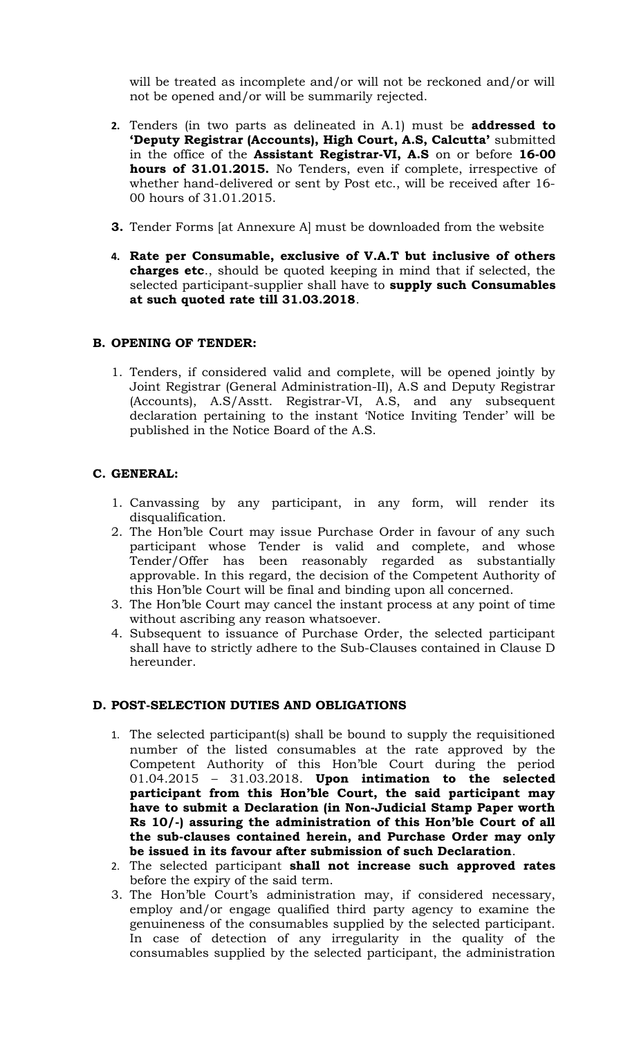will be treated as incomplete and/or will not be reckoned and/or will not be opened and/or will be summarily rejected.

- **2.** Tenders (in two parts as delineated in A.1) must be **addressed to 'Deputy Registrar (Accounts), High Court, A.S, Calcutta'** submitted in the office of the **Assistant Registrar-VI, A.S** on or before **16-00 hours of 31.01.2015.** No Tenders, even if complete, irrespective of whether hand-delivered or sent by Post etc., will be received after 16- 00 hours of 31.01.2015.
- **3.** Tender Forms [at Annexure A] must be downloaded from the website
- **4. Rate per Consumable, exclusive of V.A.T but inclusive of others charges etc**., should be quoted keeping in mind that if selected, the selected participant-supplier shall have to **supply such Consumables at such quoted rate till 31.03.2018**.

## **B. OPENING OF TENDER:**

1. Tenders, if considered valid and complete, will be opened jointly by Joint Registrar (General Administration-II), A.S and Deputy Registrar (Accounts), A.S/Asstt. Registrar-VI, A.S, and any subsequent declaration pertaining to the instant 'Notice Inviting Tender' will be published in the Notice Board of the A.S.

## **C. GENERAL:**

- 1. Canvassing by any participant, in any form, will render its disqualification.
- 2. The Hon'ble Court may issue Purchase Order in favour of any such participant whose Tender is valid and complete, and whose Tender/Offer has been reasonably regarded as substantially approvable. In this regard, the decision of the Competent Authority of this Hon'ble Court will be final and binding upon all concerned.
- 3. The Hon'ble Court may cancel the instant process at any point of time without ascribing any reason whatsoever.
- 4. Subsequent to issuance of Purchase Order, the selected participant shall have to strictly adhere to the Sub-Clauses contained in Clause D hereunder.

## **D. POST-SELECTION DUTIES AND OBLIGATIONS**

- 1. The selected participant(s) shall be bound to supply the requisitioned number of the listed consumables at the rate approved by the Competent Authority of this Hon'ble Court during the period 01.04.2015 – 31.03.2018. **Upon intimation to the selected participant from this Hon'ble Court, the said participant may have to submit a Declaration (in Non-Judicial Stamp Paper worth Rs 10/-) assuring the administration of this Hon'ble Court of all the sub-clauses contained herein, and Purchase Order may only be issued in its favour after submission of such Declaration**.
- 2. The selected participant **shall not increase such approved rates** before the expiry of the said term.
- 3. The Hon'ble Court's administration may, if considered necessary, employ and/or engage qualified third party agency to examine the genuineness of the consumables supplied by the selected participant. In case of detection of any irregularity in the quality of the consumables supplied by the selected participant, the administration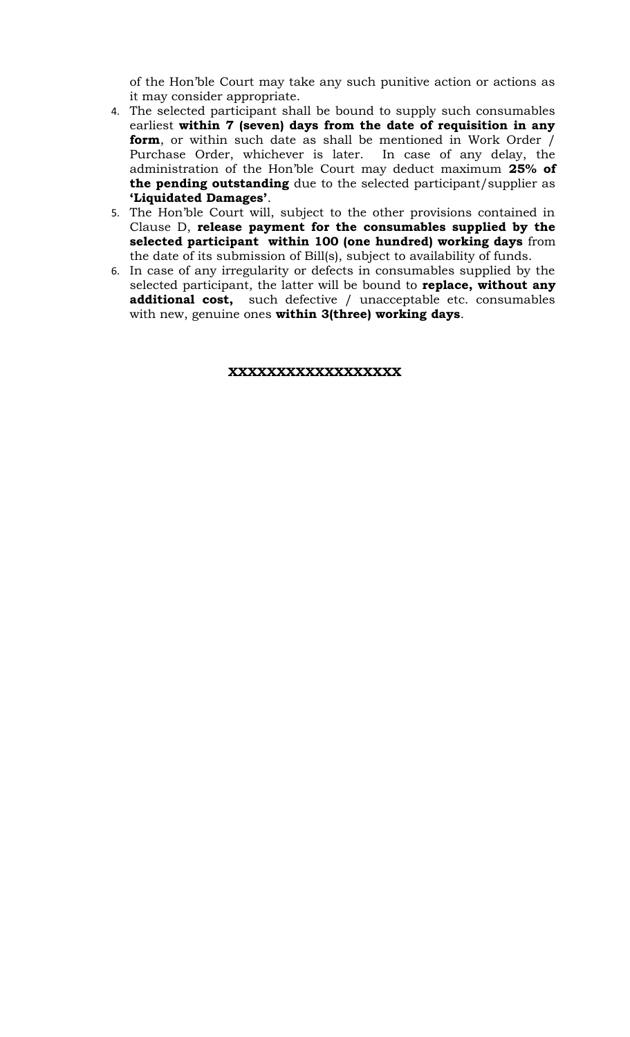of the Hon'ble Court may take any such punitive action or actions as it may consider appropriate.

- 4. The selected participant shall be bound to supply such consumables earliest **within 7 (seven) days from the date of requisition in any form**, or within such date as shall be mentioned in Work Order / Purchase Order, whichever is later. In case of any delay, the administration of the Hon'ble Court may deduct maximum **25% of the pending outstanding** due to the selected participant/supplier as **'Liquidated Damages'**.
- 5. The Hon'ble Court will, subject to the other provisions contained in Clause D, **release payment for the consumables supplied by the selected participant within 100 (one hundred) working days** from the date of its submission of Bill(s), subject to availability of funds.
- 6. In case of any irregularity or defects in consumables supplied by the selected participant, the latter will be bound to **replace, without any additional cost,** such defective / unacceptable etc. consumables with new, genuine ones **within 3(three) working days**.

#### **XXXXXXXXXXXXXXXXXX**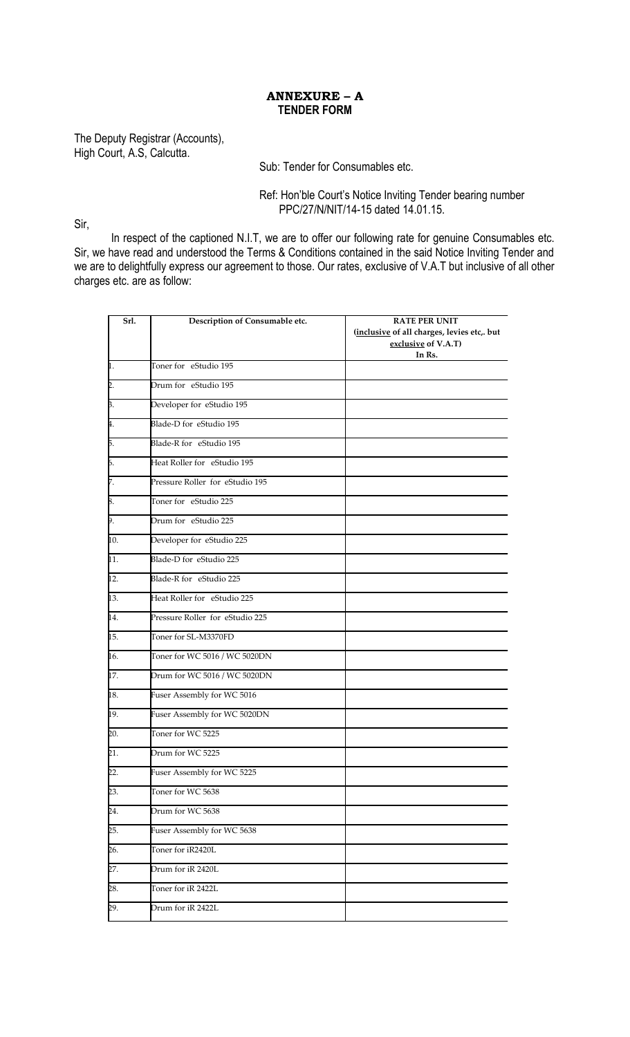## **ANNEXURE – A TENDER FORM**

The Deputy Registrar (Accounts), High Court, A.S, Calcutta.

Sub: Tender for Consumables etc.

Ref: Hon'ble Court's Notice Inviting Tender bearing number PPC/27/N/NIT/14-15 dated 14.01.15.

Sir,

In respect of the captioned N.I.T, we are to offer our following rate for genuine Consumables etc. Sir, we have read and understood the Terms & Conditions contained in the said Notice Inviting Tender and we are to delightfully express our agreement to those. Our rates, exclusive of V.A.T but inclusive of all other charges etc. are as follow:

| Srl.              | Description of Consumable etc.  | <b>RATE PER UNIT</b><br>(inclusive of all charges, levies etc,. but<br>exclusive of V.A.T)<br>In Rs. |
|-------------------|---------------------------------|------------------------------------------------------------------------------------------------------|
| h.                | Toner for eStudio 195           |                                                                                                      |
| 2.                | Drum for eStudio 195            |                                                                                                      |
| $\overline{3}$ .  | Developer for eStudio 195       |                                                                                                      |
| 4.                | Blade-D for eStudio 195         |                                                                                                      |
| Б.                | Blade-R for eStudio 195         |                                                                                                      |
| 6.                | Heat Roller for eStudio 195     |                                                                                                      |
| 7.                | Pressure Roller for eStudio 195 |                                                                                                      |
| 8.                | Toner for eStudio 225           |                                                                                                      |
| 9.                | Drum for eStudio 225            |                                                                                                      |
| 10.               | Developer for eStudio 225       |                                                                                                      |
| $\overline{11}$ . | Blade-D for eStudio 225         |                                                                                                      |
| $\overline{12}$ . | Blade-R for eStudio 225         |                                                                                                      |
| $\overline{13}$ . | Heat Roller for eStudio 225     |                                                                                                      |
| $\overline{14}$ . | Pressure Roller for eStudio 225 |                                                                                                      |
| 15.               | Toner for SL-M3370FD            |                                                                                                      |
| 16.               | Toner for WC 5016 / WC 5020DN   |                                                                                                      |
| 17.               | Drum for WC 5016 / WC 5020DN    |                                                                                                      |
| 18.               | Fuser Assembly for WC 5016      |                                                                                                      |
| 19.               | Fuser Assembly for WC 5020DN    |                                                                                                      |
| 20.               | Toner for WC 5225               |                                                                                                      |
| $\overline{21}$   | Drum for WC 5225                |                                                                                                      |
| $\overline{22}$ . | Fuser Assembly for WC 5225      |                                                                                                      |
| 23.               | Toner for WC 5638               |                                                                                                      |
| 24.               | Drum for WC 5638                |                                                                                                      |
| 25.               | Fuser Assembly for WC 5638      |                                                                                                      |
| $\overline{26}$ . | Toner for iR2420L               |                                                                                                      |
| 27.               | Drum for iR 2420L               |                                                                                                      |
| 28.               | Toner for iR 2422L              |                                                                                                      |
| 29.               | Drum for iR 2422L               |                                                                                                      |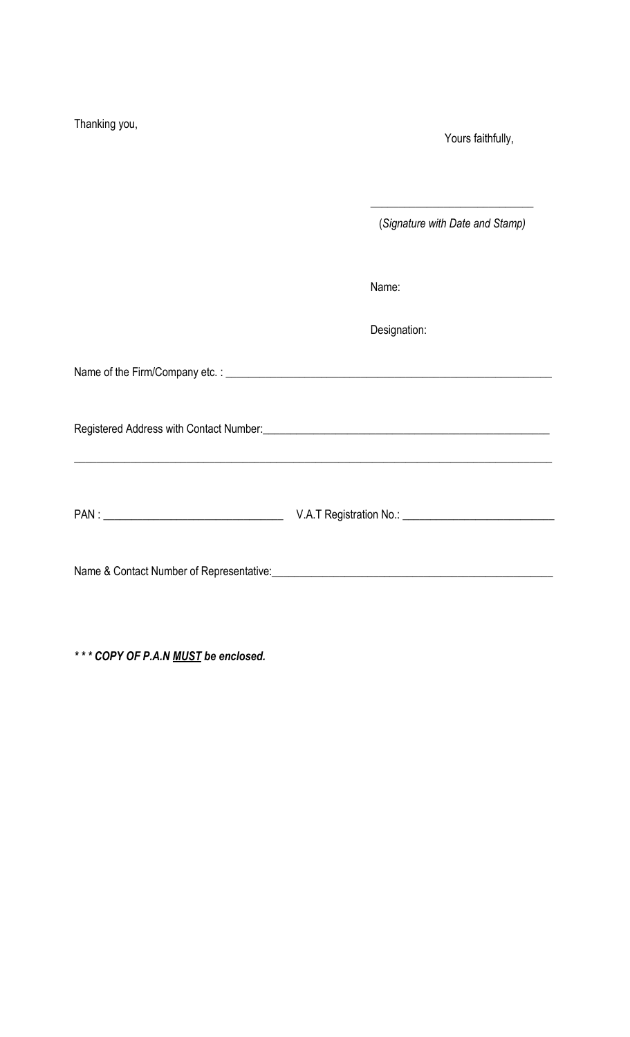| Thanking you, | Yours faithfully,                                                                                                                                                                                                              |
|---------------|--------------------------------------------------------------------------------------------------------------------------------------------------------------------------------------------------------------------------------|
|               | (Signature with Date and Stamp)                                                                                                                                                                                                |
|               | Name:                                                                                                                                                                                                                          |
|               | Designation:                                                                                                                                                                                                                   |
|               |                                                                                                                                                                                                                                |
|               | Registered Address with Contact Number: Manual Address and Address with Contact Number: Manual Address and Address and Address and Address and Address and Address and Address and Address and Address and Address and Address |
|               |                                                                                                                                                                                                                                |
|               |                                                                                                                                                                                                                                |

*\* \* \* COPY OF P.A.N MUST be enclosed.*